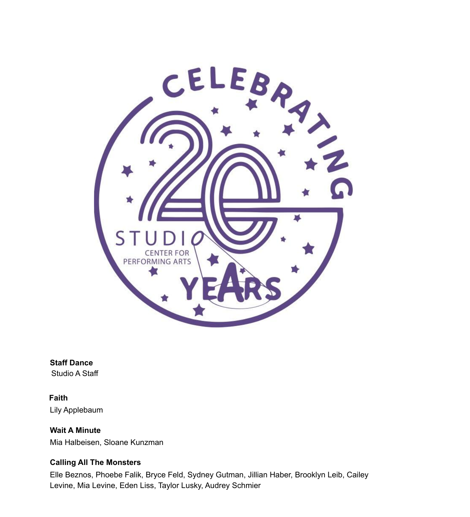

**Staff Dance** Studio A Staff

**Faith** Lily Applebaum

**Wait A Minute** Mia Halbeisen, Sloane Kunzman

### **Calling All The Monsters**

Elle Beznos, Phoebe Falik, Bryce Feld, Sydney Gutman, Jillian Haber, Brooklyn Leib, Cailey Levine, Mia Levine, Eden Liss, Taylor Lusky, Audrey Schmier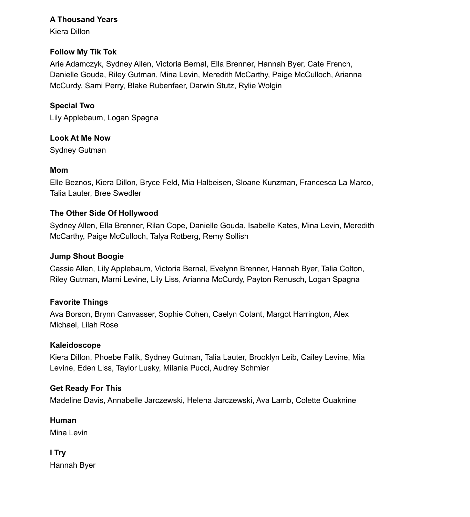## **A Thousand Years**

Kiera Dillon

# **Follow My Tik Tok**

Arie Adamczyk, Sydney Allen, Victoria Bernal, Ella Brenner, Hannah Byer, Cate French, Danielle Gouda, Riley Gutman, Mina Levin, Meredith McCarthy, Paige McCulloch, Arianna McCurdy, Sami Perry, Blake Rubenfaer, Darwin Stutz, Rylie Wolgin

## **Special Two**

Lily Applebaum, Logan Spagna

## **Look At Me Now**

Sydney Gutman

## **Mom**

Elle Beznos, Kiera Dillon, Bryce Feld, Mia Halbeisen, Sloane Kunzman, Francesca La Marco, Talia Lauter, Bree Swedler

## **The Other Side Of Hollywood**

Sydney Allen, Ella Brenner, Rilan Cope, Danielle Gouda, Isabelle Kates, Mina Levin, Meredith McCarthy, Paige McCulloch, Talya Rotberg, Remy Sollish

#### **Jump Shout Boogie**

Cassie Allen, Lily Applebaum, Victoria Bernal, Evelynn Brenner, Hannah Byer, Talia Colton, Riley Gutman, Marni Levine, Lily Liss, Arianna McCurdy, Payton Renusch, Logan Spagna

# **Favorite Things**

Ava Borson, Brynn Canvasser, Sophie Cohen, Caelyn Cotant, Margot Harrington, Alex Michael, Lilah Rose

#### **Kaleidoscope**

Kiera Dillon, Phoebe Falik, Sydney Gutman, Talia Lauter, Brooklyn Leib, Cailey Levine, Mia Levine, Eden Liss, Taylor Lusky, Milania Pucci, Audrey Schmier

# **Get Ready For This**

Madeline Davis, Annabelle Jarczewski, Helena Jarczewski, Ava Lamb, Colette Ouaknine

#### **Human**

Mina Levin

# **I Try**

Hannah Byer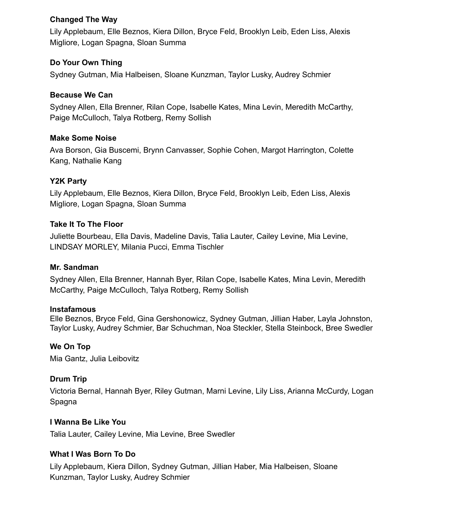### **Changed The Way**

Lily Applebaum, Elle Beznos, Kiera Dillon, Bryce Feld, Brooklyn Leib, Eden Liss, Alexis Migliore, Logan Spagna, Sloan Summa

## **Do Your Own Thing**

Sydney Gutman, Mia Halbeisen, Sloane Kunzman, Taylor Lusky, Audrey Schmier

## **Because We Can**

Sydney Allen, Ella Brenner, Rilan Cope, Isabelle Kates, Mina Levin, Meredith McCarthy, Paige McCulloch, Talya Rotberg, Remy Sollish

## **Make Some Noise**

Ava Borson, Gia Buscemi, Brynn Canvasser, Sophie Cohen, Margot Harrington, Colette Kang, Nathalie Kang

# **Y2K Party**

Lily Applebaum, Elle Beznos, Kiera Dillon, Bryce Feld, Brooklyn Leib, Eden Liss, Alexis Migliore, Logan Spagna, Sloan Summa

## **Take It To The Floor**

Juliette Bourbeau, Ella Davis, Madeline Davis, Talia Lauter, Cailey Levine, Mia Levine, LINDSAY MORLEY, Milania Pucci, Emma Tischler

#### **Mr. Sandman**

Sydney Allen, Ella Brenner, Hannah Byer, Rilan Cope, Isabelle Kates, Mina Levin, Meredith McCarthy, Paige McCulloch, Talya Rotberg, Remy Sollish

#### **Instafamous**

Elle Beznos, Bryce Feld, Gina Gershonowicz, Sydney Gutman, Jillian Haber, Layla Johnston, Taylor Lusky, Audrey Schmier, Bar Schuchman, Noa Steckler, Stella Steinbock, Bree Swedler

# **We On Top**

Mia Gantz, Julia Leibovitz

# **Drum Trip**

Victoria Bernal, Hannah Byer, Riley Gutman, Marni Levine, Lily Liss, Arianna McCurdy, Logan Spagna

# **I Wanna Be Like You**

Talia Lauter, Cailey Levine, Mia Levine, Bree Swedler

#### **What I Was Born To Do**

Lily Applebaum, Kiera Dillon, Sydney Gutman, Jillian Haber, Mia Halbeisen, Sloane Kunzman, Taylor Lusky, Audrey Schmier